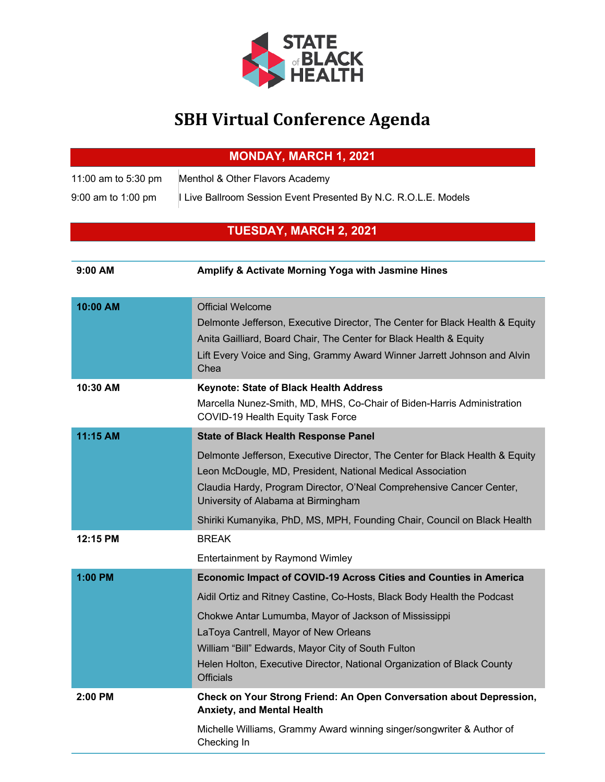

## **SBH Virtual Conference Agenda**

| <b>MONDAY, MARCH 1, 2021</b> |
|------------------------------|
|------------------------------|

| 11:00 am to 5:30 pm  | Menthol & Other Flavors Academy                               |
|----------------------|---------------------------------------------------------------|
| $9:00$ am to 1:00 pm | Live Ballroom Session Event Presented By N.C. R.O.L.E. Models |

## **TUESDAY, MARCH 2, 2021**

| 9:00 AM  | Amplify & Activate Morning Yoga with Jasmine Hines                                                                                                                                                                                                                                                                                                                                                         |
|----------|------------------------------------------------------------------------------------------------------------------------------------------------------------------------------------------------------------------------------------------------------------------------------------------------------------------------------------------------------------------------------------------------------------|
| 10:00 AM | <b>Official Welcome</b><br>Delmonte Jefferson, Executive Director, The Center for Black Health & Equity<br>Anita Gailliard, Board Chair, The Center for Black Health & Equity<br>Lift Every Voice and Sing, Grammy Award Winner Jarrett Johnson and Alvin<br>Chea                                                                                                                                          |
| 10:30 AM | <b>Keynote: State of Black Health Address</b><br>Marcella Nunez-Smith, MD, MHS, Co-Chair of Biden-Harris Administration<br>COVID-19 Health Equity Task Force                                                                                                                                                                                                                                               |
| 11:15 AM | <b>State of Black Health Response Panel</b><br>Delmonte Jefferson, Executive Director, The Center for Black Health & Equity<br>Leon McDougle, MD, President, National Medical Association<br>Claudia Hardy, Program Director, O'Neal Comprehensive Cancer Center,<br>University of Alabama at Birmingham                                                                                                   |
| 12:15 PM | Shiriki Kumanyika, PhD, MS, MPH, Founding Chair, Council on Black Health<br><b>BREAK</b><br>Entertainment by Raymond Wimley                                                                                                                                                                                                                                                                                |
| 1:00 PM  | <b>Economic Impact of COVID-19 Across Cities and Counties in America</b><br>Aidil Ortiz and Ritney Castine, Co-Hosts, Black Body Health the Podcast<br>Chokwe Antar Lumumba, Mayor of Jackson of Mississippi<br>LaToya Cantrell, Mayor of New Orleans<br>William "Bill" Edwards, Mayor City of South Fulton<br>Helen Holton, Executive Director, National Organization of Black County<br><b>Officials</b> |
| 2:00 PM  | Check on Your Strong Friend: An Open Conversation about Depression,<br><b>Anxiety, and Mental Health</b><br>Michelle Williams, Grammy Award winning singer/songwriter & Author of<br>Checking In                                                                                                                                                                                                           |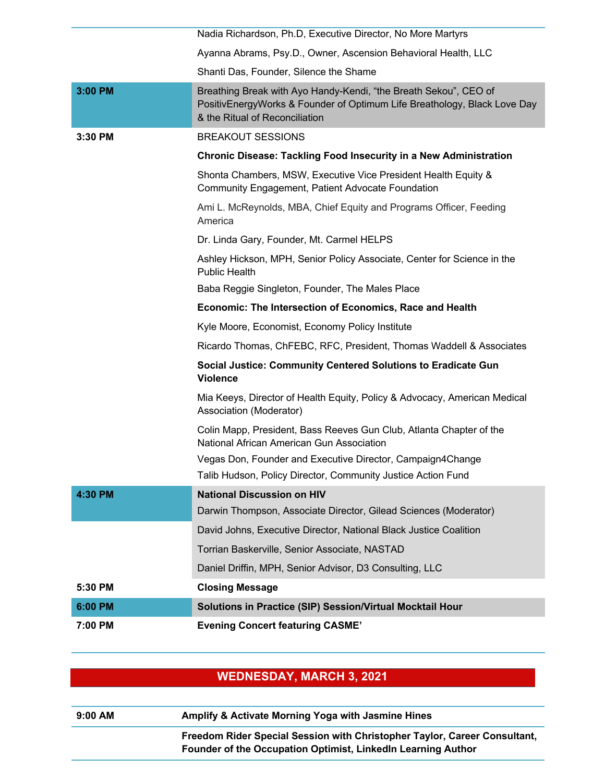|         | Nadia Richardson, Ph.D, Executive Director, No More Martyrs                                                                                                                    |
|---------|--------------------------------------------------------------------------------------------------------------------------------------------------------------------------------|
|         | Ayanna Abrams, Psy.D., Owner, Ascension Behavioral Health, LLC                                                                                                                 |
|         | Shanti Das, Founder, Silence the Shame                                                                                                                                         |
| 3:00 PM | Breathing Break with Ayo Handy-Kendi, "the Breath Sekou", CEO of<br>PositivEnergyWorks & Founder of Optimum Life Breathology, Black Love Day<br>& the Ritual of Reconciliation |
| 3:30 PM | <b>BREAKOUT SESSIONS</b>                                                                                                                                                       |
|         | <b>Chronic Disease: Tackling Food Insecurity in a New Administration</b>                                                                                                       |
|         | Shonta Chambers, MSW, Executive Vice President Health Equity &<br>Community Engagement, Patient Advocate Foundation                                                            |
|         | Ami L. McReynolds, MBA, Chief Equity and Programs Officer, Feeding<br>America                                                                                                  |
|         | Dr. Linda Gary, Founder, Mt. Carmel HELPS                                                                                                                                      |
|         | Ashley Hickson, MPH, Senior Policy Associate, Center for Science in the<br><b>Public Health</b>                                                                                |
|         | Baba Reggie Singleton, Founder, The Males Place                                                                                                                                |
|         | Economic: The Intersection of Economics, Race and Health                                                                                                                       |
|         | Kyle Moore, Economist, Economy Policy Institute                                                                                                                                |
|         | Ricardo Thomas, ChFEBC, RFC, President, Thomas Waddell & Associates                                                                                                            |
|         | Social Justice: Community Centered Solutions to Eradicate Gun<br><b>Violence</b>                                                                                               |
|         | Mia Keeys, Director of Health Equity, Policy & Advocacy, American Medical<br>Association (Moderator)                                                                           |
|         | Colin Mapp, President, Bass Reeves Gun Club, Atlanta Chapter of the<br>National African American Gun Association                                                               |
|         | Vegas Don, Founder and Executive Director, Campaign4Change                                                                                                                     |
|         | Talib Hudson, Policy Director, Community Justice Action Fund                                                                                                                   |
| 4:30 PM | <b>National Discussion on HIV</b>                                                                                                                                              |
|         | Darwin Thompson, Associate Director, Gilead Sciences (Moderator)                                                                                                               |
|         | David Johns, Executive Director, National Black Justice Coalition                                                                                                              |
|         | Torrian Baskerville, Senior Associate, NASTAD                                                                                                                                  |
|         | Daniel Driffin, MPH, Senior Advisor, D3 Consulting, LLC                                                                                                                        |
| 5:30 PM | <b>Closing Message</b>                                                                                                                                                         |
|         |                                                                                                                                                                                |
| 6:00 PM | Solutions in Practice (SIP) Session/Virtual Mocktail Hour                                                                                                                      |

## **WEDNESDAY, MARCH 3, 2021**

| $9:00$ AM | Amplify & Activate Morning Yoga with Jasmine Hines                        |
|-----------|---------------------------------------------------------------------------|
|           | Freedom Rider Special Session with Christopher Taylor, Career Consultant, |
|           | Founder of the Occupation Optimist, LinkedIn Learning Author              |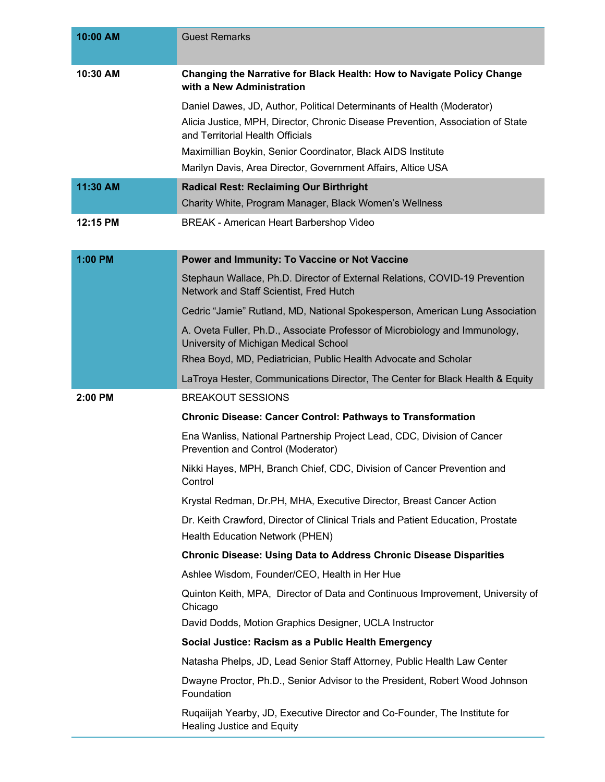| 10:00 AM | <b>Guest Remarks</b>                                                                                                                                                                                                                                                                                                          |
|----------|-------------------------------------------------------------------------------------------------------------------------------------------------------------------------------------------------------------------------------------------------------------------------------------------------------------------------------|
| 10:30 AM | Changing the Narrative for Black Health: How to Navigate Policy Change<br>with a New Administration                                                                                                                                                                                                                           |
|          | Daniel Dawes, JD, Author, Political Determinants of Health (Moderator)<br>Alicia Justice, MPH, Director, Chronic Disease Prevention, Association of State<br>and Territorial Health Officials<br>Maximillian Boykin, Senior Coordinator, Black AIDS Institute<br>Marilyn Davis, Area Director, Government Affairs, Altice USA |
| 11:30 AM | <b>Radical Rest: Reclaiming Our Birthright</b><br>Charity White, Program Manager, Black Women's Wellness                                                                                                                                                                                                                      |
| 12:15 PM | BREAK - American Heart Barbershop Video                                                                                                                                                                                                                                                                                       |
| 1:00 PM  | Power and Immunity: To Vaccine or Not Vaccine                                                                                                                                                                                                                                                                                 |
|          | Stephaun Wallace, Ph.D. Director of External Relations, COVID-19 Prevention<br>Network and Staff Scientist, Fred Hutch                                                                                                                                                                                                        |
|          | Cedric "Jamie" Rutland, MD, National Spokesperson, American Lung Association                                                                                                                                                                                                                                                  |
|          | A. Oveta Fuller, Ph.D., Associate Professor of Microbiology and Immunology,<br>University of Michigan Medical School                                                                                                                                                                                                          |
|          | Rhea Boyd, MD, Pediatrician, Public Health Advocate and Scholar                                                                                                                                                                                                                                                               |
|          | LaTroya Hester, Communications Director, The Center for Black Health & Equity                                                                                                                                                                                                                                                 |
| 2:00 PM  | <b>BREAKOUT SESSIONS</b>                                                                                                                                                                                                                                                                                                      |
|          | <b>Chronic Disease: Cancer Control: Pathways to Transformation</b>                                                                                                                                                                                                                                                            |
|          | Ena Wanliss, National Partnership Project Lead, CDC, Division of Cancer<br>Prevention and Control (Moderator)                                                                                                                                                                                                                 |
|          | Nikki Hayes, MPH, Branch Chief, CDC, Division of Cancer Prevention and<br>Control                                                                                                                                                                                                                                             |
|          | Krystal Redman, Dr.PH, MHA, Executive Director, Breast Cancer Action                                                                                                                                                                                                                                                          |
|          | Dr. Keith Crawford, Director of Clinical Trials and Patient Education, Prostate<br>Health Education Network (PHEN)                                                                                                                                                                                                            |
|          | <b>Chronic Disease: Using Data to Address Chronic Disease Disparities</b>                                                                                                                                                                                                                                                     |
|          | Ashlee Wisdom, Founder/CEO, Health in Her Hue                                                                                                                                                                                                                                                                                 |
|          | Quinton Keith, MPA, Director of Data and Continuous Improvement, University of<br>Chicago                                                                                                                                                                                                                                     |
|          | David Dodds, Motion Graphics Designer, UCLA Instructor                                                                                                                                                                                                                                                                        |
|          | Social Justice: Racism as a Public Health Emergency                                                                                                                                                                                                                                                                           |
|          | Natasha Phelps, JD, Lead Senior Staff Attorney, Public Health Law Center                                                                                                                                                                                                                                                      |
|          | Dwayne Proctor, Ph.D., Senior Advisor to the President, Robert Wood Johnson<br>Foundation                                                                                                                                                                                                                                     |
|          | Ruqaiijah Yearby, JD, Executive Director and Co-Founder, The Institute for<br><b>Healing Justice and Equity</b>                                                                                                                                                                                                               |